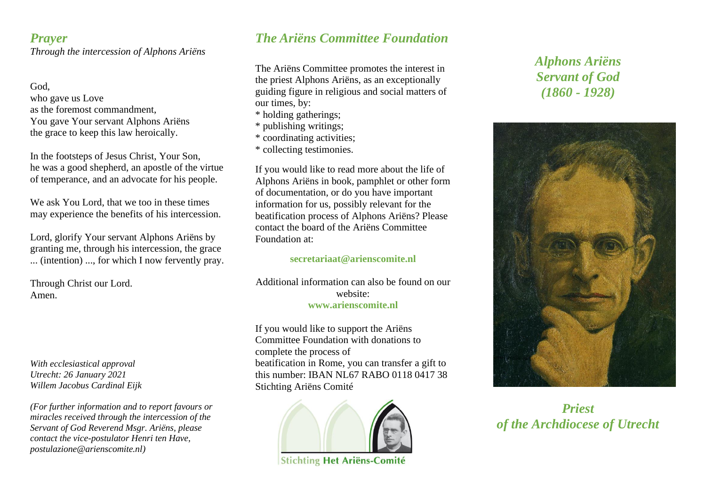### *Prayer Through the intercession of Alphons Ariëns*

#### God, who gave us Love as the foremost commandment You gave Your servant Alphons Ariëns the grace to keep this law heroically.

In the footsteps of Jesus Christ, Your Son, he was a good shepherd, an apostle of the virtue of temperance, and an advocate for his people.

We ask You Lord, that we too in these times may experience the benefits of his intercession.

Lord, glorify Your servant Alphons Ariëns by granting me, through his intercession, the grace ... (intention) ..., for which I now fervently pray.

Through Christ our Lord. Amen.

*With ecclesiastical approval Utrecht: 26 January 2021 Willem Jacobus Cardinal Eijk*

*(For further information and to report favours or miracles received through the intercession of the Servant of God Reverend Msgr. Ariëns, please contact the vice-postulator Henri ten Have, postulazione@arienscomite.nl)*

# *The Ariëns Committee Foundation*

The Ariëns Committee promotes the interest in the priest Alphons Ariëns, as an exceptionally guiding figure in religious and social matters of our times, by:

- \* holding gatherings;
- \* publishing writings;
- \* coordinating activities;
- \* collecting testimonies.

If you would like to read more about the life of Alphons Ariëns in book, pamphlet or other form of documentation, or do you have important information for us, possibly relevant for the beatification process of Alphons Ariëns? Please contact the board of the Ariëns Committee Foundation at:

#### **secretariaat@arienscomite.nl**

Additional information can also be found on our website: **www.arienscomite.nl**

If you would like to support the Ariëns Committee Foundation with donations to complete the process of beatification in Rome, you can transfer a gift to this number: IBAN NL67 RABO 0118 0417 38 Stichting Ariëns Comité



**Stichting Het Ariëns-Comité** 

# *Alphons Ariëns Servant of God (1860 - 1928)*



*Priest of the Archdiocese of Utrecht*